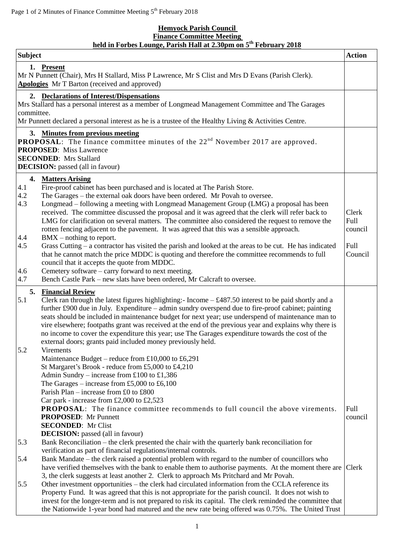## **Hemyock Parish Council Finance Committee Meeting held in Forbes Lounge, Parish Hall at 2.30pm on 5th February 2018**

| <b>Subject</b>                                                                                                                                                                                                                                                                                                                                                                                                                                                                                                                                                                                                                                                                                                                                                                                                                                                                                                                                                                                                                                                    | <b>Action</b>                               |
|-------------------------------------------------------------------------------------------------------------------------------------------------------------------------------------------------------------------------------------------------------------------------------------------------------------------------------------------------------------------------------------------------------------------------------------------------------------------------------------------------------------------------------------------------------------------------------------------------------------------------------------------------------------------------------------------------------------------------------------------------------------------------------------------------------------------------------------------------------------------------------------------------------------------------------------------------------------------------------------------------------------------------------------------------------------------|---------------------------------------------|
| 1. Present<br>Mr N Punnett (Chair), Mrs H Stallard, Miss P Lawrence, Mr S Clist and Mrs D Evans (Parish Clerk).<br>Apologies Mr T Barton (received and approved)                                                                                                                                                                                                                                                                                                                                                                                                                                                                                                                                                                                                                                                                                                                                                                                                                                                                                                  |                                             |
| 2. Declarations of Interest/Dispensations<br>Mrs Stallard has a personal interest as a member of Longmead Management Committee and The Garages<br>committee.<br>Mr Punnett declared a personal interest as he is a trustee of the Healthy Living & Activities Centre.                                                                                                                                                                                                                                                                                                                                                                                                                                                                                                                                                                                                                                                                                                                                                                                             |                                             |
| 3. Minutes from previous meeting<br><b>PROPOSAL:</b> The finance committee minutes of the 22 <sup>nd</sup> November 2017 are approved.<br><b>PROPOSED:</b> Miss Lawrence<br><b>SECONDED:</b> Mrs Stallard<br><b>DECISION:</b> passed (all in favour)                                                                                                                                                                                                                                                                                                                                                                                                                                                                                                                                                                                                                                                                                                                                                                                                              |                                             |
| 4. Matters Arising<br>Fire-proof cabinet has been purchased and is located at The Parish Store.<br>4.1<br>4.2<br>The Garages – the external oak doors have been ordered. Mr Povah to oversee.<br>Longmead – following a meeting with Longmead Management Group (LMG) a proposal has been<br>4.3<br>received. The committee discussed the proposal and it was agreed that the clerk will refer back to<br>LMG for clarification on several matters. The committee also considered the request to remove the<br>rotten fencing adjacent to the pavement. It was agreed that this was a sensible approach.<br>$BMX - nothing to report.$<br>4.4<br>Grass Cutting $-$ a contractor has visited the parish and looked at the areas to be cut. He has indicated<br>4.5<br>that he cannot match the price MDDC is quoting and therefore the committee recommends to full<br>council that it accepts the quote from MDDC.<br>Cemetery software – carry forward to next meeting.<br>4.6<br>4.7<br>Bench Castle Park - new slats have been ordered, Mr Calcraft to oversee. | Clerk<br>Full<br>council<br>Full<br>Council |
| 5.<br><b>Financial Review</b><br>5.1<br>Clerk ran through the latest figures highlighting:- Income $-$ £487.50 interest to be paid shortly and a<br>further £900 due in July. Expenditure – admin sundry overspend due to fire-proof cabinet; painting<br>seats should be included in maintenance budget for next year; use underspend of maintenance man to<br>vire elsewhere; footpaths grant was received at the end of the previous year and explains why there is<br>no income to cover the expenditure this year; use The Garages expenditure towards the cost of the<br>external doors; grants paid included money previously held.                                                                                                                                                                                                                                                                                                                                                                                                                        |                                             |
| 5.2<br><b>Virements</b><br>Maintenance Budget – reduce from £10,000 to £6,291<br>St Margaret's Brook - reduce from £5,000 to £4,210<br>Admin Sundry - increase from £100 to £1,386<br>The Garages – increase from £5,000 to £6,100<br>Parish Plan – increase from £0 to £800<br>Car park - increase from £2,000 to £2,523<br><b>PROPOSAL:</b> The finance committee recommends to full council the above virements.<br><b>PROPOSED:</b> Mr Punnett<br><b>SECONDED:</b> Mr Clist<br><b>DECISION:</b> passed (all in favour)                                                                                                                                                                                                                                                                                                                                                                                                                                                                                                                                        | Full<br>council                             |
| 5.3<br>Bank Reconciliation – the clerk presented the chair with the quarterly bank reconciliation for<br>verification as part of financial regulations/internal controls.                                                                                                                                                                                                                                                                                                                                                                                                                                                                                                                                                                                                                                                                                                                                                                                                                                                                                         |                                             |
| 5.4<br>Bank Mandate – the clerk raised a potential problem with regard to the number of councillors who<br>have verified themselves with the bank to enable them to authorise payments. At the moment there are<br>3, the clerk suggests at least another 2. Clerk to approach Ms Pritchard and Mr Povah.                                                                                                                                                                                                                                                                                                                                                                                                                                                                                                                                                                                                                                                                                                                                                         | Clerk                                       |
| Other investment opportunities - the clerk had circulated information from the CCLA reference its<br>5.5<br>Property Fund. It was agreed that this is not appropriate for the parish council. It does not wish to<br>invest for the longer-term and is not prepared to risk its capital. The clerk reminded the committee that<br>the Nationwide 1-year bond had matured and the new rate being offered was 0.75%. The United Trust                                                                                                                                                                                                                                                                                                                                                                                                                                                                                                                                                                                                                               |                                             |